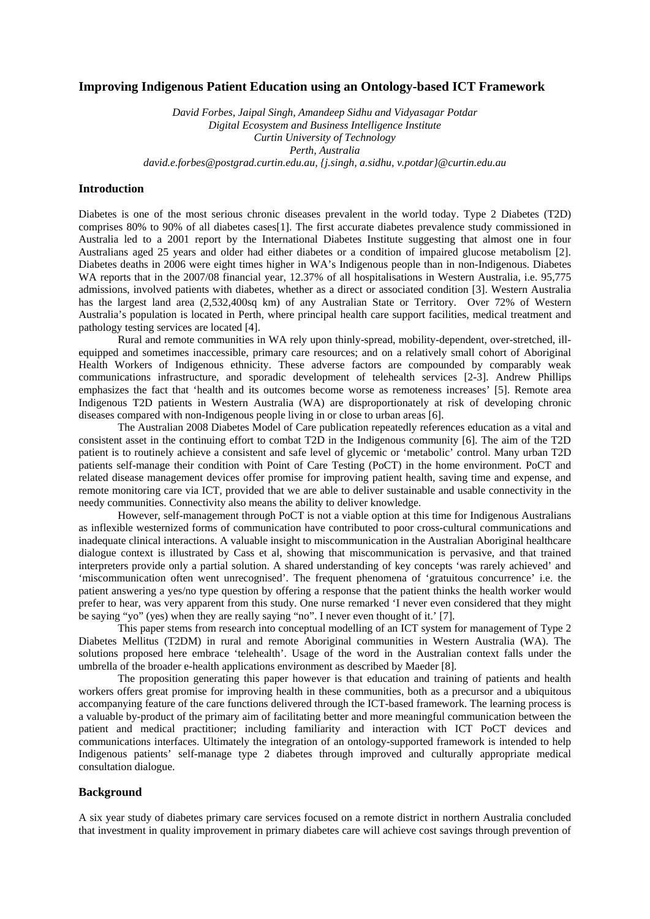## **Improving Indigenous Patient Education using an Ontology-based ICT Framework**

*David Forbes, Jaipal Singh, Amandeep Sidhu and Vidyasagar Potdar Digital Ecosystem and Business Intelligence Institute Curtin University of Technology Perth, Australia david.e.forbes@postgrad.curtin.edu.au, {j.singh, a.sidhu, v.potdar}@curtin.edu.au*

# **Introduction**

Diabetes is one of the most serious chronic diseases prevalent in the world today. Type 2 Diabetes (T2D) comprises 80% to 90% of all diabetes cases[1]. The first accurate diabetes prevalence study commissioned in Australia led to a 2001 report by the International Diabetes Institute suggesting that almost one in four Australians aged 25 years and older had either diabetes or a condition of impaired glucose metabolism [2]. Diabetes deaths in 2006 were eight times higher in WA's Indigenous people than in non-Indigenous. Diabetes WA reports that in the 2007/08 financial year, 12.37% of all hospitalisations in Western Australia, i.e. 95,775 admissions, involved patients with diabetes, whether as a direct or associated condition [3]. Western Australia has the largest land area (2,532,400sq km) of any Australian State or Territory. Over 72% of Western Australia's population is located in Perth, where principal health care support facilities, medical treatment and pathology testing services are located [4].

 Rural and remote communities in WA rely upon thinly-spread, mobility-dependent, over-stretched, illequipped and sometimes inaccessible, primary care resources; and on a relatively small cohort of Aboriginal Health Workers of Indigenous ethnicity. These adverse factors are compounded by comparably weak communications infrastructure, and sporadic development of telehealth services [2-3]. Andrew Phillips emphasizes the fact that 'health and its outcomes become worse as remoteness increases' [5]. Remote area Indigenous T2D patients in Western Australia (WA) are disproportionately at risk of developing chronic diseases compared with non-Indigenous people living in or close to urban areas [6].

The Australian 2008 [Diabetes Model of Care](http://www.healthnetworks.health.wa.gov.au/modelsofcare/docs/Diabetes_Model_of_Care.pdf) publication repeatedly references education as a vital and consistent asset in the continuing effort to combat T2D in the Indigenous community [6]. The aim of the T2D patient is to routinely achieve a consistent and safe level of glycemic or 'metabolic' control. Many urban T2D patients self-manage their condition with Point of Care Testing (PoCT) in the home environment. PoCT and related disease management devices offer promise for improving patient health, saving time and expense, and remote monitoring care via ICT, provided that we are able to deliver sustainable and usable connectivity in the needy communities. Connectivity also means the ability to deliver knowledge.

However, self-management through PoCT is not a viable option at this time for Indigenous Australians as inflexible westernized forms of communication have contributed to poor cross-cultural communications and inadequate clinical interactions. A valuable insight to miscommunication in the Australian Aboriginal healthcare dialogue context is illustrated by Cass et al, showing that miscommunication is pervasive, and that trained interpreters provide only a partial solution. A shared understanding of key concepts 'was rarely achieved' and 'miscommunication often went unrecognised'. The frequent phenomena of 'gratuitous concurrence' i.e. the patient answering a yes/no type question by offering a response that the patient thinks the health worker would prefer to hear, was very apparent from this study. One nurse remarked 'I never even considered that they might be saying "yo" (yes) when they are really saying "no". I never even thought of it.' [7].

 This paper stems from research into conceptual modelling of an ICT system for management of Type 2 Diabetes Mellitus (T2DM) in rural and remote Aboriginal communities in Western Australia (WA). The solutions proposed here embrace 'telehealth'. Usage of the word in the Australian context falls under the umbrella of the broader e-health applications environment as described by Maeder [8].

The proposition generating this paper however is that education and training of patients and health workers offers great promise for improving health in these communities, both as a precursor and a ubiquitous accompanying feature of the care functions delivered through the ICT-based framework. The learning process is a valuable by-product of the primary aim of facilitating better and more meaningful communication between the patient and medical practitioner; including familiarity and interaction with ICT PoCT devices and communications interfaces. Ultimately the integration of an ontology-supported framework is intended to help Indigenous patients' self-manage type 2 diabetes through improved and culturally appropriate medical consultation dialogue.

### **Background**

A six year study of diabetes primary care services focused on a remote district in northern Australia concluded that investment in quality improvement in primary diabetes care will achieve cost savings through prevention of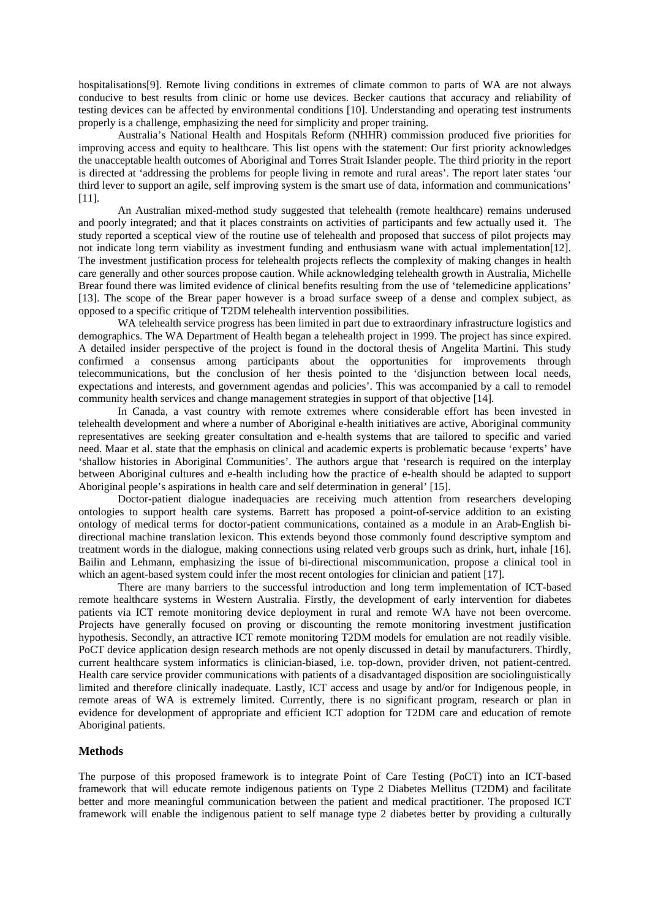hospitalisations[9]. Remote living conditions in extremes of climate common to parts of WA are not always conducive to best results from clinic or home use devices. Becker cautions that accuracy and reliability of testing devices can be affected by environmental conditions [10]. Understanding and operating test instruments properly is a challenge, emphasizing the need for simplicity and proper training.

 Australia's National Health and Hospitals Reform (NHHR) commission produced five priorities for improving access and equity to healthcare. This list opens with the statement: Our first priority acknowledges the unacceptable health outcomes of Aboriginal and Torres Strait Islander people. The third priority in the report is directed at 'addressing the problems for people living in remote and rural areas'. The report later states 'our third lever to support an agile, self improving system is the smart use of data, information and communications' [11].

 An Australian mixed-method study suggested that telehealth (remote healthcare) remains underused and poorly integrated; and that it places constraints on activities of participants and few actually used it. The study reported a sceptical view of the routine use of telehealth and proposed that success of pilot projects may not indicate long term viability as investment funding and enthusiasm wane with actual implementation[12]. The investment justification process for telehealth projects reflects the complexity of making changes in health care generally and other sources propose caution. While acknowledging telehealth growth in Australia, Michelle Brear found there was limited evidence of clinical benefits resulting from the use of 'telemedicine applications' [13]. The scope of the Brear paper however is a broad surface sweep of a dense and complex subject, as opposed to a specific critique of T2DM telehealth intervention possibilities.

WA telehealth service progress has been limited in part due to extraordinary infrastructure logistics and demographics. The WA Department of Health began a telehealth project in 1999. The project has since expired. A detailed insider perspective of the project is found in the doctoral thesis of Angelita Martini. This study confirmed a consensus among participants about the opportunities for improvements through telecommunications, but the conclusion of her thesis pointed to the 'disjunction between local needs, expectations and interests, and government agendas and policies'. This was accompanied by a call to remodel community health services and change management strategies in support of that objective [14].

In Canada, a vast country with remote extremes where considerable effort has been invested in telehealth development and where a number of Aboriginal e-health initiatives are active, Aboriginal community representatives are seeking greater consultation and e-health systems that are tailored to specific and varied need. Maar et al. state that the emphasis on clinical and academic experts is problematic because 'experts' have 'shallow histories in Aboriginal Communities'. The authors argue that 'research is required on the interplay between Aboriginal cultures and e-health including how the practice of e-health should be adapted to support Aboriginal people's aspirations in health care and self determination in general' [15].

Doctor-patient dialogue inadequacies are receiving much attention from researchers developing ontologies to support health care systems. Barrett has proposed a point-of-service addition to an existing ontology of medical terms for doctor-patient communications, contained as a module in an Arab-English bidirectional machine translation lexicon. This extends beyond those commonly found descriptive symptom and treatment words in the dialogue, making connections using related verb groups such as drink, hurt, inhale [16]. Bailin and Lehmann, emphasizing the issue of bi-directional miscommunication, propose a clinical tool in which an agent-based system could infer the most recent ontologies for clinician and patient [17].

There are many barriers to the successful introduction and long term implementation of ICT-based remote healthcare systems in Western Australia. Firstly, the development of early intervention for diabetes patients via ICT remote monitoring device deployment in rural and remote WA have not been overcome. Projects have generally focused on proving or discounting the remote monitoring investment justification hypothesis. Secondly, an attractive ICT remote monitoring T2DM models for emulation are not readily visible. PoCT device application design research methods are not openly discussed in detail by manufacturers. Thirdly, current healthcare system informatics is clinician-biased, i.e. top-down, provider driven, not patient-centred. Health care service provider communications with patients of a disadvantaged disposition are sociolinguistically limited and therefore clinically inadequate. Lastly, ICT access and usage by and/or for Indigenous people, in remote areas of WA is extremely limited. Currently, there is no significant program, research or plan in evidence for development of appropriate and efficient ICT adoption for T2DM care and education of remote Aboriginal patients.

## **Methods**

The purpose of this proposed framework is to integrate Point of Care Testing (PoCT) into an ICT-based framework that will educate remote indigenous patients on Type 2 Diabetes Mellitus (T2DM) and facilitate better and more meaningful communication between the patient and medical practitioner. The proposed ICT framework will enable the indigenous patient to self manage type 2 diabetes better by providing a culturally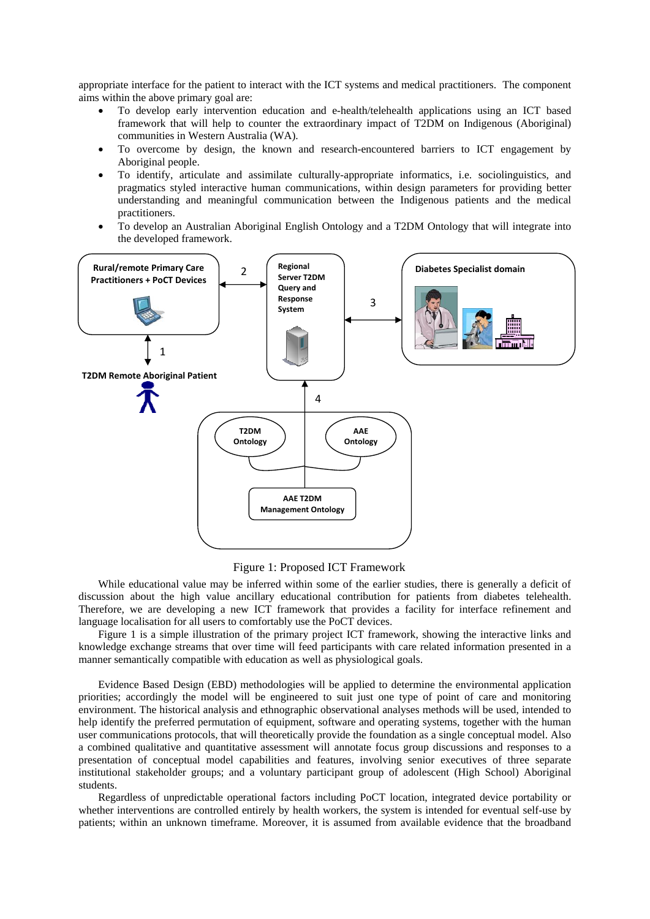appropriate interface for the patient to interact with the ICT systems and medical practitioners. The component aims within the above primary goal are:

- To develop early intervention education and e-health/telehealth applications using an ICT based framework that will help to counter the extraordinary impact of T2DM on Indigenous (Aboriginal) communities in Western Australia (WA).
- To overcome by design, the known and research-encountered barriers to ICT engagement by Aboriginal people.
- To identify, articulate and assimilate culturally-appropriate informatics, i.e. sociolinguistics, and pragmatics styled interactive human communications, within design parameters for providing better understanding and meaningful communication between the Indigenous patients and the medical practitioners.
- To develop an Australian Aboriginal English Ontology and a T2DM Ontology that will integrate into the developed framework.



### Figure 1: Proposed ICT Framework

While educational value may be inferred within some of the earlier studies, there is generally a deficit of discussion about the high value ancillary educational contribution for patients from diabetes telehealth. Therefore, we are developing a new ICT framework that provides a facility for interface refinement and language localisation for all users to comfortably use the PoCT devices.

Figure 1 is a simple illustration of the primary project ICT framework, showing the interactive links and knowledge exchange streams that over time will feed participants with care related information presented in a manner semantically compatible with education as well as physiological goals.

Evidence Based Design (EBD) methodologies will be applied to determine the environmental application priorities; accordingly the model will be engineered to suit just one type of point of care and monitoring environment. The historical analysis and ethnographic observational analyses methods will be used, intended to help identify the preferred permutation of equipment, software and operating systems, together with the human user communications protocols, that will theoretically provide the foundation as a single conceptual model. Also a combined qualitative and quantitative assessment will annotate focus group discussions and responses to a presentation of conceptual model capabilities and features, involving senior executives of three separate institutional stakeholder groups; and a voluntary participant group of adolescent (High School) Aboriginal students.

Regardless of unpredictable operational factors including PoCT location, integrated device portability or whether interventions are controlled entirely by health workers, the system is intended for eventual self-use by patients; within an unknown timeframe. Moreover, it is assumed from available evidence that the broadband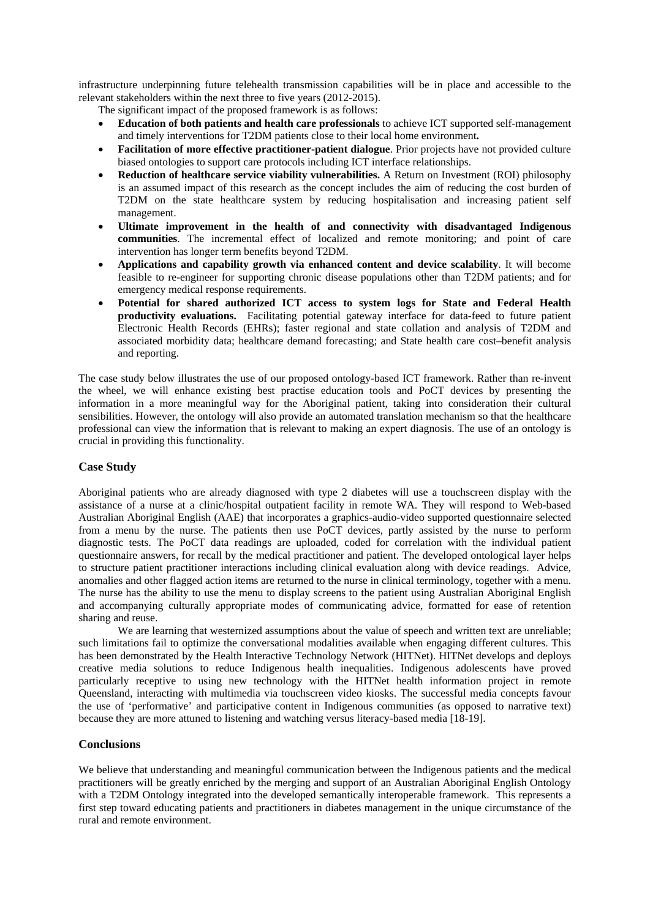infrastructure underpinning future telehealth transmission capabilities will be in place and accessible to the relevant stakeholders within the next three to five years (2012-2015).

- The significant impact of the proposed framework is as follows:
- **Education of both patients and health care professionals** to achieve ICT supported self-management and timely interventions for T2DM patients close to their local home environment**.**
- **Facilitation of more effective practitioner-patient dialogue**. Prior projects have not provided culture biased ontologies to support care protocols including ICT interface relationships.
- **Reduction of healthcare service viability vulnerabilities.** A Return on Investment (ROI) philosophy is an assumed impact of this research as the concept includes the aim of reducing the cost burden of T2DM on the state healthcare system by reducing hospitalisation and increasing patient self management.
- **Ultimate improvement in the health of and connectivity with disadvantaged Indigenous communities**. The incremental effect of localized and remote monitoring; and point of care intervention has longer term benefits beyond T2DM.
- **Applications and capability growth via enhanced content and device scalability**. It will become feasible to re-engineer for supporting chronic disease populations other than T2DM patients; and for emergency medical response requirements.
- **Potential for shared authorized ICT access to system logs for State and Federal Health productivity evaluations.** Facilitating potential gateway interface for data-feed to future patient Electronic Health Records (EHRs); faster regional and state collation and analysis of T2DM and associated morbidity data; healthcare demand forecasting; and State health care cost–benefit analysis and reporting.

The case study below illustrates the use of our proposed ontology-based ICT framework. Rather than re-invent the wheel, we will enhance existing best practise education tools and PoCT devices by presenting the information in a more meaningful way for the Aboriginal patient, taking into consideration their cultural sensibilities. However, the ontology will also provide an automated translation mechanism so that the healthcare professional can view the information that is relevant to making an expert diagnosis. The use of an ontology is crucial in providing this functionality.

### **Case Study**

Aboriginal patients who are already diagnosed with type 2 diabetes will use a touchscreen display with the assistance of a nurse at a clinic/hospital outpatient facility in remote WA. They will respond to Web-based Australian Aboriginal English (AAE) that incorporates a graphics-audio-video supported questionnaire selected from a menu by the nurse. The patients then use PoCT devices, partly assisted by the nurse to perform diagnostic tests. The PoCT data readings are uploaded, coded for correlation with the individual patient questionnaire answers, for recall by the medical practitioner and patient. The developed ontological layer helps to structure patient practitioner interactions including clinical evaluation along with device readings. Advice, anomalies and other flagged action items are returned to the nurse in clinical terminology, together with a menu. The nurse has the ability to use the menu to display screens to the patient using Australian Aboriginal English and accompanying culturally appropriate modes of communicating advice, formatted for ease of retention sharing and reuse.

We are learning that westernized assumptions about the value of speech and written text are unreliable; such limitations fail to optimize the conversational modalities available when engaging different cultures. This has been demonstrated by the Health Interactive Technology Network (HITNet). HITNet develops and deploys creative media solutions to reduce Indigenous health inequalities. Indigenous adolescents have proved particularly receptive to using new technology with the HITNet health information project in remote Queensland, interacting with multimedia via touchscreen video kiosks. The successful media concepts favour the use of 'performative' and participative content in Indigenous communities (as opposed to narrative text) because they are more attuned to listening and watching versus literacy-based media [18-19].

#### **Conclusions**

We believe that understanding and meaningful communication between the Indigenous patients and the medical practitioners will be greatly enriched by the merging and support of an Australian Aboriginal English Ontology with a T2DM Ontology integrated into the developed semantically interoperable framework. This represents a first step toward educating patients and practitioners in diabetes management in the unique circumstance of the rural and remote environment.